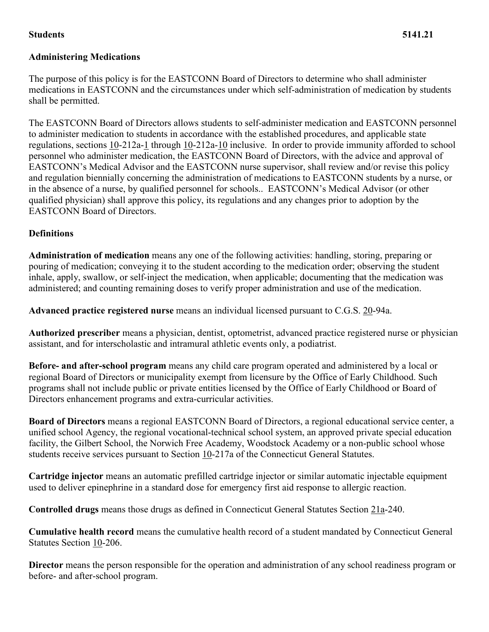#### **Students 5141.21**

# **Administering Medications**

The purpose of this policy is for the EASTCONN Board of Directors to determine who shall administer medications in EASTCONN and the circumstances under which self-administration of medication by students shall be permitted.

The EASTCONN Board of Directors allows students to self-administer medication and EASTCONN personnel to administer medication to students in accordance with the established procedures, and applicable state regulations, sections [10-](https://www.cga.ct.gov/2011/pub/Title10.htm)212a[-1](https://www.cga.ct.gov/2011/pub/Title1.htm) through [10-](https://www.cga.ct.gov/2011/pub/Title10.htm)212a[-10](https://www.cga.ct.gov/2011/pub/Title10.htm) inclusive. In order to provide immunity afforded to school personnel who administer medication, the EASTCONN Board of Directors, with the advice and approval of EASTCONN's Medical Advisor and the EASTCONN nurse supervisor, shall review and/or revise this policy and regulation biennially concerning the administration of medications to EASTCONN students by a nurse, or in the absence of a nurse, by qualified personnel for schools.. EASTCONN's Medical Advisor (or other qualified physician) shall approve this policy, its regulations and any changes prior to adoption by the EASTCONN Board of Directors.

### **Definitions**

**Administration of medication** means any one of the following activities: handling, storing, preparing or pouring of medication; conveying it to the student according to the medication order; observing the student inhale, apply, swallow, or self-inject the medication, when applicable; documenting that the medication was administered; and counting remaining doses to verify proper administration and use of the medication.

**Advanced practice registered nurse** means an individual licensed pursuant to C.G.S. [20-](https://www.cga.ct.gov/2011/pub/Title20.htm)94a.

**Authorized prescriber** means a physician, dentist, optometrist, advanced practice registered nurse or physician assistant, and for interscholastic and intramural athletic events only, a podiatrist.

**Before- and after-school program** means any child care program operated and administered by a local or regional Board of Directors or municipality exempt from licensure by the Office of Early Childhood. Such programs shall not include public or private entities licensed by the Office of Early Childhood or Board of Directors enhancement programs and extra-curricular activities.

**Board of Directors** means a regional EASTCONN Board of Directors, a regional educational service center, a unified school Agency, the regional vocational-technical school system, an approved private special education facility, the Gilbert School, the Norwich Free Academy, Woodstock Academy or a non-public school whose students receive services pursuant to Section [10-](https://www.cga.ct.gov/2011/pub/Title10.htm)217a of the Connecticut General Statutes.

**Cartridge injector** means an automatic prefilled cartridge injector or similar automatic injectable equipment used to deliver epinephrine in a standard dose for emergency first aid response to allergic reaction.

**Controlled drugs** means those drugs as defined in Connecticut General Statutes Section [21a-](https://www.cga.ct.gov/2011/pub/Title21a.htm)240.

**Cumulative health record** means the cumulative health record of a student mandated by Connecticut General Statutes Section [10-](https://www.cga.ct.gov/2011/pub/Title10.htm)206.

**Director** means the person responsible for the operation and administration of any school readiness program or before- and after-school program.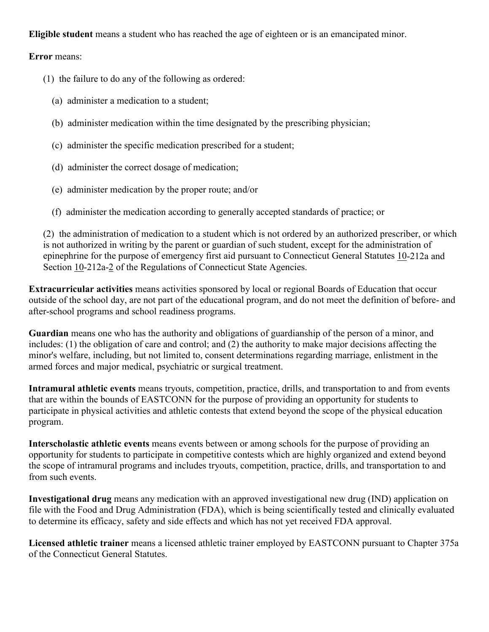### **Eligible student** means a student who has reached the age of eighteen or is an emancipated minor.

#### **Error** means:

- (1) the failure to do any of the following as ordered:
	- (a) administer a medication to a student;
	- (b) administer medication within the time designated by the prescribing physician;
	- (c) administer the specific medication prescribed for a student;
	- (d) administer the correct dosage of medication;
	- (e) administer medication by the proper route; and/or
	- (f) administer the medication according to generally accepted standards of practice; or

(2) the administration of medication to a student which is not ordered by an authorized prescriber, or which is not authorized in writing by the parent or guardian of such student, except for the administration of epinephrine for the purpose of emergency first aid pursuant to Connecticut General Statutes [10-](https://www.cga.ct.gov/2011/pub/Title10.htm)212a and Section [10-](https://www.cga.ct.gov/2011/pub/Title10.htm)212a[-2](https://www.cga.ct.gov/2011/pub/Title2.htm) of the Regulations of Connecticut State Agencies.

**Extracurricular activities** means activities sponsored by local or regional Boards of Education that occur outside of the school day, are not part of the educational program, and do not meet the definition of before- and after-school programs and school readiness programs.

**Guardian** means one who has the authority and obligations of guardianship of the person of a minor, and includes: (1) the obligation of care and control; and (2) the authority to make major decisions affecting the minor's welfare, including, but not limited to, consent determinations regarding marriage, enlistment in the armed forces and major medical, psychiatric or surgical treatment.

**Intramural athletic events** means tryouts, competition, practice, drills, and transportation to and from events that are within the bounds of EASTCONN for the purpose of providing an opportunity for students to participate in physical activities and athletic contests that extend beyond the scope of the physical education program.

**Interscholastic athletic events** means events between or among schools for the purpose of providing an opportunity for students to participate in competitive contests which are highly organized and extend beyond the scope of intramural programs and includes tryouts, competition, practice, drills, and transportation to and from such events.

**Investigational drug** means any medication with an approved investigational new drug (IND) application on file with the Food and Drug Administration (FDA), which is being scientifically tested and clinically evaluated to determine its efficacy, safety and side effects and which has not yet received FDA approval.

**Licensed athletic trainer** means a licensed athletic trainer employed by EASTCONN pursuant to Chapter 375a of the Connecticut General Statutes.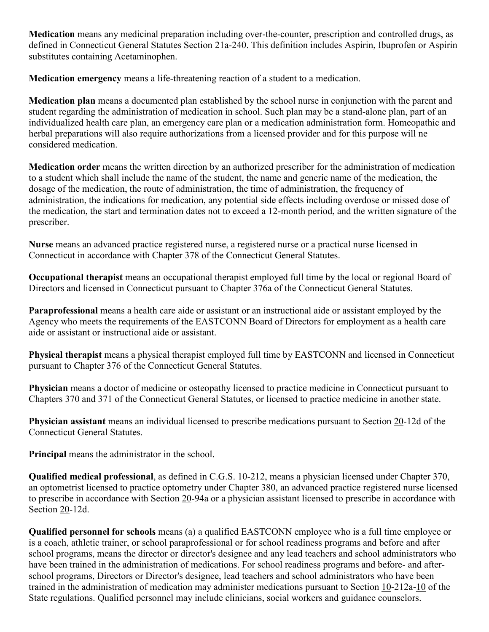**Medication** means any medicinal preparation including over-the-counter, prescription and controlled drugs, as defined in Connecticut General Statutes Section [21a-](https://www.cga.ct.gov/2011/pub/Title21a.htm)240. This definition includes Aspirin, Ibuprofen or Aspirin substitutes containing Acetaminophen.

**Medication emergency** means a life-threatening reaction of a student to a medication.

**Medication plan** means a documented plan established by the school nurse in conjunction with the parent and student regarding the administration of medication in school. Such plan may be a stand-alone plan, part of an individualized health care plan, an emergency care plan or a medication administration form. Homeopathic and herbal preparations will also require authorizations from a licensed provider and for this purpose will ne considered medication.

**Medication order** means the written direction by an authorized prescriber for the administration of medication to a student which shall include the name of the student, the name and generic name of the medication, the dosage of the medication, the route of administration, the time of administration, the frequency of administration, the indications for medication, any potential side effects including overdose or missed dose of the medication, the start and termination dates not to exceed a 12-month period, and the written signature of the prescriber.

**Nurse** means an advanced practice registered nurse, a registered nurse or a practical nurse licensed in Connecticut in accordance with Chapter 378 of the Connecticut General Statutes.

**Occupational therapist** means an occupational therapist employed full time by the local or regional Board of Directors and licensed in Connecticut pursuant to Chapter 376a of the Connecticut General Statutes.

**Paraprofessional** means a health care aide or assistant or an instructional aide or assistant employed by the Agency who meets the requirements of the EASTCONN Board of Directors for employment as a health care aide or assistant or instructional aide or assistant.

**Physical therapist** means a physical therapist employed full time by EASTCONN and licensed in Connecticut pursuant to Chapter 376 of the Connecticut General Statutes.

**Physician** means a doctor of medicine or osteopathy licensed to practice medicine in Connecticut pursuant to Chapters 370 and 371 of the Connecticut General Statutes, or licensed to practice medicine in another state.

**Physician assistant** means an individual licensed to prescribe medications pursuant to Section [20-](https://www.cga.ct.gov/2011/pub/Title20.htm)12d of the Connecticut General Statutes.

**Principal** means the administrator in the school.

**Qualified medical professional**, as defined in C.G.S. [10-](https://www.cga.ct.gov/2011/pub/Title10.htm)212, means a physician licensed under Chapter 370, an optometrist licensed to practice optometry under Chapter 380, an advanced practice registered nurse licensed to prescribe in accordance with Section [20-](https://www.cga.ct.gov/2011/pub/Title20.htm)94a or a physician assistant licensed to prescribe in accordance with Section [20-](https://www.cga.ct.gov/2011/pub/Title20.htm)12d.

**Qualified personnel for schools** means (a) a qualified EASTCONN employee who is a full time employee or is a coach, athletic trainer, or school paraprofessional or for school readiness programs and before and after school programs, means the director or director's designee and any lead teachers and school administrators who have been trained in the administration of medications. For school readiness programs and before- and afterschool programs, Directors or Director's designee, lead teachers and school administrators who have been trained in the administration of medication may administer medications pursuant to Section [10-](https://www.cga.ct.gov/2011/pub/Title10.htm)212a[-10](https://www.cga.ct.gov/2011/pub/Title10.htm) of the State regulations. Qualified personnel may include clinicians, social workers and guidance counselors.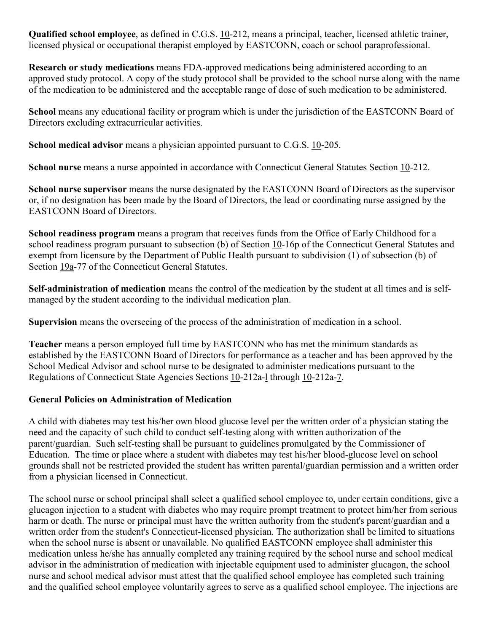**Qualified school employee**, as defined in C.G.S. [10-](https://www.cga.ct.gov/2011/pub/Title10.htm)212, means a principal, teacher, licensed athletic trainer, licensed physical or occupational therapist employed by EASTCONN, coach or school paraprofessional.

**Research or study medications** means FDA-approved medications being administered according to an approved study protocol. A copy of the study protocol shall be provided to the school nurse along with the name of the medication to be administered and the acceptable range of dose of such medication to be administered.

**School** means any educational facility or program which is under the jurisdiction of the EASTCONN Board of Directors excluding extracurricular activities.

**School medical advisor** means a physician appointed pursuant to C.G.S. [10-](https://www.cga.ct.gov/2011/pub/Title10.htm)205.

**School nurse** means a nurse appointed in accordance with Connecticut General Statutes Section [10-](https://www.cga.ct.gov/2011/pub/Title10.htm)212.

**School nurse supervisor** means the nurse designated by the EASTCONN Board of Directors as the supervisor or, if no designation has been made by the Board of Directors, the lead or coordinating nurse assigned by the EASTCONN Board of Directors.

**School readiness program** means a program that receives funds from the Office of Early Childhood for a school readiness program pursuant to subsection (b) of Section [10-](https://www.cga.ct.gov/2011/pub/Title10.htm)16p of the Connecticut General Statutes and exempt from licensure by the Department of Public Health pursuant to subdivision (1) of subsection (b) of Section [19a-](https://www.cga.ct.gov/2011/pub/Title19a.htm)77 of the Connecticut General Statutes.

**Self-administration of medication** means the control of the medication by the student at all times and is selfmanaged by the student according to the individual medication plan.

**Supervision** means the overseeing of the process of the administration of medication in a school.

**Teacher** means a person employed full time by EASTCONN who has met the minimum standards as established by the EASTCONN Board of Directors for performance as a teacher and has been approved by the School Medical Advisor and school nurse to be designated to administer medications pursuant to the Regulations of Connecticut State Agencies Sections [10-](https://www.cga.ct.gov/2011/pub/Title10.htm)212a[-l](https://www.cga.ct.gov/2011/pub/Title1.htm) through [10-](https://www.cga.ct.gov/2011/pub/Title10.htm)212a[-7.](https://www.cga.ct.gov/2011/pub/Title7.htm)

#### **General Policies on Administration of Medication**

A child with diabetes may test his/her own blood glucose level per the written order of a physician stating the need and the capacity of such child to conduct self-testing along with written authorization of the parent/guardian. Such self-testing shall be pursuant to guidelines promulgated by the Commissioner of Education. The time or place where a student with diabetes may test his/her blood-glucose level on school grounds shall not be restricted provided the student has written parental/guardian permission and a written order from a physician licensed in Connecticut.

The school nurse or school principal shall select a qualified school employee to, under certain conditions, give a glucagon injection to a student with diabetes who may require prompt treatment to protect him/her from serious harm or death. The nurse or principal must have the written authority from the student's parent/guardian and a written order from the student's Connecticut-licensed physician. The authorization shall be limited to situations when the school nurse is absent or unavailable. No qualified EASTCONN employee shall administer this medication unless he/she has annually completed any training required by the school nurse and school medical advisor in the administration of medication with injectable equipment used to administer glucagon, the school nurse and school medical advisor must attest that the qualified school employee has completed such training and the qualified school employee voluntarily agrees to serve as a qualified school employee. The injections are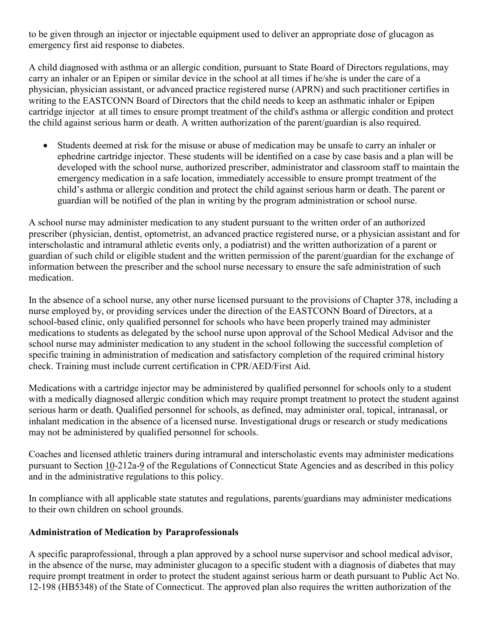to be given through an injector or injectable equipment used to deliver an appropriate dose of glucagon as emergency first aid response to diabetes.

A child diagnosed with asthma or an allergic condition, pursuant to State Board of Directors regulations, may carry an inhaler or an Epipen or similar device in the school at all times if he/she is under the care of a physician, physician assistant, or advanced practice registered nurse (APRN) and such practitioner certifies in writing to the EASTCONN Board of Directors that the child needs to keep an asthmatic inhaler or Epipen cartridge injector at all times to ensure prompt treatment of the child's asthma or allergic condition and protect the child against serious harm or death. A written authorization of the parent/guardian is also required.

• Students deemed at risk for the misuse or abuse of medication may be unsafe to carry an inhaler or ephedrine cartridge injector. These students will be identified on a case by case basis and a plan will be developed with the school nurse, authorized prescriber, administrator and classroom staff to maintain the emergency medication in a safe location, immediately accessible to ensure prompt treatment of the child's asthma or allergic condition and protect the child against serious harm or death. The parent or guardian will be notified of the plan in writing by the program administration or school nurse.

A school nurse may administer medication to any student pursuant to the written order of an authorized prescriber (physician, dentist, optometrist, an advanced practice registered nurse, or a physician assistant and for interscholastic and intramural athletic events only, a podiatrist) and the written authorization of a parent or guardian of such child or eligible student and the written permission of the parent/guardian for the exchange of information between the prescriber and the school nurse necessary to ensure the safe administration of such medication.

In the absence of a school nurse, any other nurse licensed pursuant to the provisions of Chapter 378, including a nurse employed by, or providing services under the direction of the EASTCONN Board of Directors, at a school-based clinic, only qualified personnel for schools who have been properly trained may administer medications to students as delegated by the school nurse upon approval of the School Medical Advisor and the school nurse may administer medication to any student in the school following the successful completion of specific training in administration of medication and satisfactory completion of the required criminal history check. Training must include current certification in CPR/AED/First Aid.

Medications with a cartridge injector may be administered by qualified personnel for schools only to a student with a medically diagnosed allergic condition which may require prompt treatment to protect the student against serious harm or death. Qualified personnel for schools, as defined, may administer oral, topical, intranasal, or inhalant medication in the absence of a licensed nurse. Investigational drugs or research or study medications may not be administered by qualified personnel for schools.

Coaches and licensed athletic trainers during intramural and interscholastic events may administer medications pursuant to Section [10-](https://www.cga.ct.gov/2011/pub/Title10.htm)212a[-9](https://www.cga.ct.gov/2011/pub/Title9.htm) of the Regulations of Connecticut State Agencies and as described in this policy and in the administrative regulations to this policy.

In compliance with all applicable state statutes and regulations, parents/guardians may administer medications to their own children on school grounds.

# **Administration of Medication by Paraprofessionals**

A specific paraprofessional, through a plan approved by a school nurse supervisor and school medical advisor, in the absence of the nurse, may administer glucagon to a specific student with a diagnosis of diabetes that may require prompt treatment in order to protect the student against serious harm or death pursuant to Public Act No. 12-198 (HB5348) of the State of Connecticut. The approved plan also requires the written authorization of the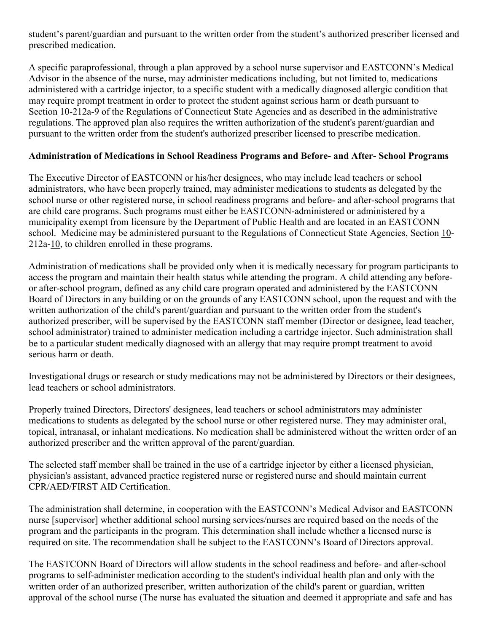student's parent/guardian and pursuant to the written order from the student's authorized prescriber licensed and prescribed medication.

A specific paraprofessional, through a plan approved by a school nurse supervisor and EASTCONN's Medical Advisor in the absence of the nurse, may administer medications including, but not limited to, medications administered with a cartridge injector, to a specific student with a medically diagnosed allergic condition that may require prompt treatment in order to protect the student against serious harm or death pursuant to Section [10-](https://www.cga.ct.gov/2011/pub/Title10.htm)212a[-9](https://www.cga.ct.gov/2011/pub/Title9.htm) of the Regulations of Connecticut State Agencies and as described in the administrative regulations. The approved plan also requires the written authorization of the student's parent/guardian and pursuant to the written order from the student's authorized prescriber licensed to prescribe medication.

### **Administration of Medications in School Readiness Programs and Before- and After- School Programs**

The Executive Director of EASTCONN or his/her designees, who may include lead teachers or school administrators, who have been properly trained, may administer medications to students as delegated by the school nurse or other registered nurse, in school readiness programs and before- and after-school programs that are child care programs. Such programs must either be EASTCONN-administered or administered by a municipality exempt from licensure by the Department of Public Health and are located in an EASTCONN school. Medicine may be administered pursuant to the Regulations of Connecticut State Agencies, Section [10-](https://www.cga.ct.gov/2011/pub/Title10.htm) 212a[-10,](https://www.cga.ct.gov/2011/pub/Title10.htm) to children enrolled in these programs.

Administration of medications shall be provided only when it is medically necessary for program participants to access the program and maintain their health status while attending the program. A child attending any beforeor after-school program, defined as any child care program operated and administered by the EASTCONN Board of Directors in any building or on the grounds of any EASTCONN school, upon the request and with the written authorization of the child's parent/guardian and pursuant to the written order from the student's authorized prescriber, will be supervised by the EASTCONN staff member (Director or designee, lead teacher, school administrator) trained to administer medication including a cartridge injector. Such administration shall be to a particular student medically diagnosed with an allergy that may require prompt treatment to avoid serious harm or death.

Investigational drugs or research or study medications may not be administered by Directors or their designees, lead teachers or school administrators.

Properly trained Directors, Directors' designees, lead teachers or school administrators may administer medications to students as delegated by the school nurse or other registered nurse. They may administer oral, topical, intranasal, or inhalant medications. No medication shall be administered without the written order of an authorized prescriber and the written approval of the parent/guardian.

The selected staff member shall be trained in the use of a cartridge injector by either a licensed physician, physician's assistant, advanced practice registered nurse or registered nurse and should maintain current CPR/AED/FIRST AID Certification.

The administration shall determine, in cooperation with the EASTCONN's Medical Advisor and EASTCONN nurse [supervisor] whether additional school nursing services/nurses are required based on the needs of the program and the participants in the program. This determination shall include whether a licensed nurse is required on site. The recommendation shall be subject to the EASTCONN's Board of Directors approval.

The EASTCONN Board of Directors will allow students in the school readiness and before- and after-school programs to self-administer medication according to the student's individual health plan and only with the written order of an authorized prescriber, written authorization of the child's parent or guardian, written approval of the school nurse (The nurse has evaluated the situation and deemed it appropriate and safe and has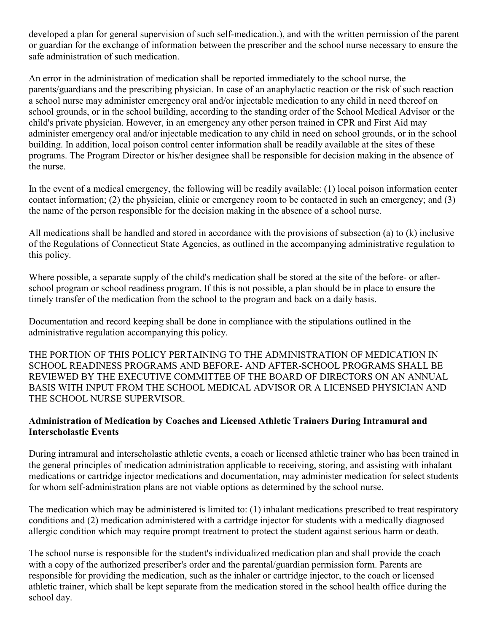developed a plan for general supervision of such self-medication.), and with the written permission of the parent or guardian for the exchange of information between the prescriber and the school nurse necessary to ensure the safe administration of such medication.

An error in the administration of medication shall be reported immediately to the school nurse, the parents/guardians and the prescribing physician. In case of an anaphylactic reaction or the risk of such reaction a school nurse may administer emergency oral and/or injectable medication to any child in need thereof on school grounds, or in the school building, according to the standing order of the School Medical Advisor or the child's private physician. However, in an emergency any other person trained in CPR and First Aid may administer emergency oral and/or injectable medication to any child in need on school grounds, or in the school building. In addition, local poison control center information shall be readily available at the sites of these programs. The Program Director or his/her designee shall be responsible for decision making in the absence of the nurse.

In the event of a medical emergency, the following will be readily available: (1) local poison information center contact information; (2) the physician, clinic or emergency room to be contacted in such an emergency; and (3) the name of the person responsible for the decision making in the absence of a school nurse.

All medications shall be handled and stored in accordance with the provisions of subsection (a) to (k) inclusive of the Regulations of Connecticut State Agencies, as outlined in the accompanying administrative regulation to this policy.

Where possible, a separate supply of the child's medication shall be stored at the site of the before- or afterschool program or school readiness program. If this is not possible, a plan should be in place to ensure the timely transfer of the medication from the school to the program and back on a daily basis.

Documentation and record keeping shall be done in compliance with the stipulations outlined in the administrative regulation accompanying this policy.

THE PORTION OF THIS POLICY PERTAINING TO THE ADMINISTRATION OF MEDICATION IN SCHOOL READINESS PROGRAMS AND BEFORE- AND AFTER-SCHOOL PROGRAMS SHALL BE REVIEWED BY THE EXECUTIVE COMMITTEE OF THE BOARD OF DIRECTORS ON AN ANNUAL BASIS WITH INPUT FROM THE SCHOOL MEDICAL ADVISOR OR A LICENSED PHYSICIAN AND THE SCHOOL NURSE SUPERVISOR.

#### **Administration of Medication by Coaches and Licensed Athletic Trainers During Intramural and Interscholastic Events**

During intramural and interscholastic athletic events, a coach or licensed athletic trainer who has been trained in the general principles of medication administration applicable to receiving, storing, and assisting with inhalant medications or cartridge injector medications and documentation, may administer medication for select students for whom self-administration plans are not viable options as determined by the school nurse.

The medication which may be administered is limited to: (1) inhalant medications prescribed to treat respiratory conditions and (2) medication administered with a cartridge injector for students with a medically diagnosed allergic condition which may require prompt treatment to protect the student against serious harm or death.

The school nurse is responsible for the student's individualized medication plan and shall provide the coach with a copy of the authorized prescriber's order and the parental/guardian permission form. Parents are responsible for providing the medication, such as the inhaler or cartridge injector, to the coach or licensed athletic trainer, which shall be kept separate from the medication stored in the school health office during the school day.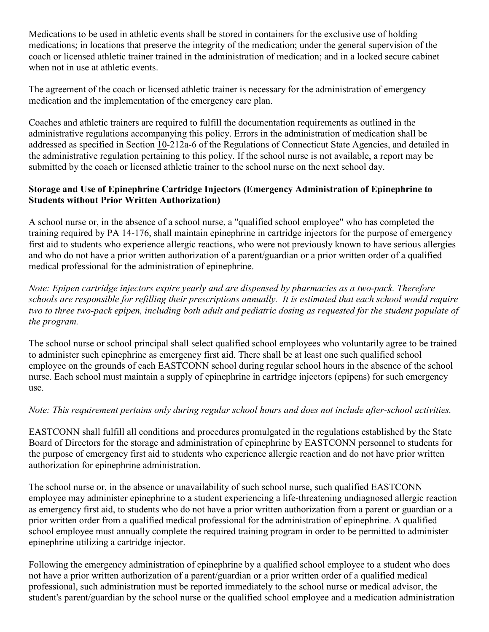Medications to be used in athletic events shall be stored in containers for the exclusive use of holding medications; in locations that preserve the integrity of the medication; under the general supervision of the coach or licensed athletic trainer trained in the administration of medication; and in a locked secure cabinet when not in use at athletic events.

The agreement of the coach or licensed athletic trainer is necessary for the administration of emergency medication and the implementation of the emergency care plan.

Coaches and athletic trainers are required to fulfill the documentation requirements as outlined in the administrative regulations accompanying this policy. Errors in the administration of medication shall be addressed as specified in Section [10-](https://www.cga.ct.gov/2011/pub/Title10.htm)212a-6 of the Regulations of Connecticut State Agencies, and detailed in the administrative regulation pertaining to this policy. If the school nurse is not available, a report may be submitted by the coach or licensed athletic trainer to the school nurse on the next school day.

### **Storage and Use of Epinephrine Cartridge Injectors (Emergency Administration of Epinephrine to Students without Prior Written Authorization)**

A school nurse or, in the absence of a school nurse, a "qualified school employee" who has completed the training required by PA 14-176, shall maintain epinephrine in cartridge injectors for the purpose of emergency first aid to students who experience allergic reactions, who were not previously known to have serious allergies and who do not have a prior written authorization of a parent/guardian or a prior written order of a qualified medical professional for the administration of epinephrine.

*Note: Epipen cartridge injectors expire yearly and are dispensed by pharmacies as a two-pack. Therefore schools are responsible for refilling their prescriptions annually. It is estimated that each school would require two to three two-pack epipen, including both adult and pediatric dosing as requested for the student populate of the program.*

The school nurse or school principal shall select qualified school employees who voluntarily agree to be trained to administer such epinephrine as emergency first aid. There shall be at least one such qualified school employee on the grounds of each EASTCONN school during regular school hours in the absence of the school nurse. Each school must maintain a supply of epinephrine in cartridge injectors (epipens) for such emergency use.

# *Note: This requirement pertains only during regular school hours and does not include after-school activities.*

EASTCONN shall fulfill all conditions and procedures promulgated in the regulations established by the State Board of Directors for the storage and administration of epinephrine by EASTCONN personnel to students for the purpose of emergency first aid to students who experience allergic reaction and do not have prior written authorization for epinephrine administration.

The school nurse or, in the absence or unavailability of such school nurse, such qualified EASTCONN employee may administer epinephrine to a student experiencing a life-threatening undiagnosed allergic reaction as emergency first aid, to students who do not have a prior written authorization from a parent or guardian or a prior written order from a qualified medical professional for the administration of epinephrine. A qualified school employee must annually complete the required training program in order to be permitted to administer epinephrine utilizing a cartridge injector.

Following the emergency administration of epinephrine by a qualified school employee to a student who does not have a prior written authorization of a parent/guardian or a prior written order of a qualified medical professional, such administration must be reported immediately to the school nurse or medical advisor, the student's parent/guardian by the school nurse or the qualified school employee and a medication administration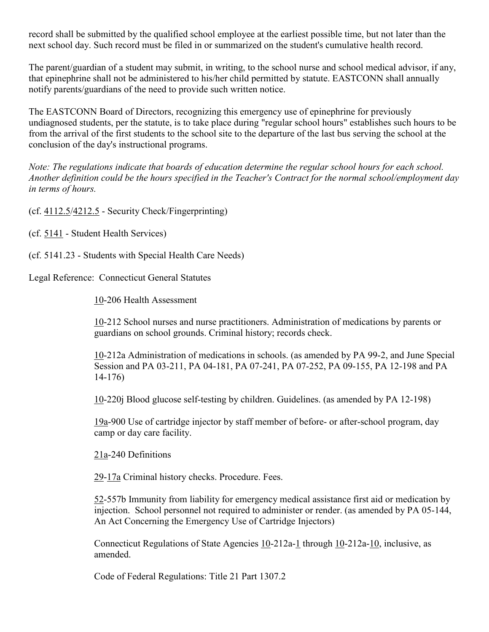record shall be submitted by the qualified school employee at the earliest possible time, but not later than the next school day. Such record must be filed in or summarized on the student's cumulative health record.

The parent/guardian of a student may submit, in writing, to the school nurse and school medical advisor, if any, that epinephrine shall not be administered to his/her child permitted by statute. EASTCONN shall annually notify parents/guardians of the need to provide such written notice.

The EASTCONN Board of Directors, recognizing this emergency use of epinephrine for previously undiagnosed students, per the statute, is to take place during "regular school hours" establishes such hours to be from the arrival of the first students to the school site to the departure of the last bus serving the school at the conclusion of the day's instructional programs.

*Note: The regulations indicate that boards of education determine the regular school hours for each school. Another definition could be the hours specified in the Teacher's Contract for the normal school/employment day in terms of hours.*

(cf. [4112.5/](http://z2policy.cabe.org/cabe/DocViewer.jsp?docid=161&z2collection=core#JD_4112.5)[4212.5](http://z2policy.cabe.org/cabe/DocViewer.jsp?docid=161&z2collection=core#JD_4212.5) - Security Check/Fingerprinting)

(cf. [5141](http://z2policy.cabe.org/cabe/DocViewer.jsp?docid=286&z2collection=core#JD_5141) - Student Health Services)

(cf. 5141.23 - Students with Special Health Care Needs)

Legal Reference: Connecticut General Statutes

[10-](https://www.cga.ct.gov/2011/pub/Title10.htm)206 Health Assessment

[10-](https://www.cga.ct.gov/2011/pub/Title10.htm)212 School nurses and nurse practitioners. Administration of medications by parents or guardians on school grounds. Criminal history; records check.

[10-](https://www.cga.ct.gov/2011/pub/Title10.htm)212a Administration of medications in schools. (as amended by PA 99-2, and June Special Session and PA 03-211, PA 04-181, PA 07-241, PA 07-252, PA 09-155, PA 12-198 and PA 14-176)

[10-](https://www.cga.ct.gov/2011/pub/Title10.htm)220j Blood glucose self-testing by children. Guidelines. (as amended by PA 12-198)

[19a-](https://www.cga.ct.gov/2011/pub/Title19a.htm)900 Use of cartridge injector by staff member of before- or after-school program, day camp or day care facility.

[21a-](https://www.cga.ct.gov/2011/pub/Title21a.htm)240 Definitions

[29-](https://www.cga.ct.gov/2011/pub/Title29.htm)[17a](https://www.cga.ct.gov/2011/pub/Title17a.htm) Criminal history checks. Procedure. Fees.

[52-](https://www.cga.ct.gov/2011/pub/Title52.htm)557b Immunity from liability for emergency medical assistance first aid or medication by injection. School personnel not required to administer or render. (as amended by PA 05-144, An Act Concerning the Emergency Use of Cartridge Injectors)

Connecticut Regulations of State Agencies [10-](https://www.cga.ct.gov/2011/pub/Title10.htm)212a[-1](https://www.cga.ct.gov/2011/pub/Title1.htm) through [10-](https://www.cga.ct.gov/2011/pub/Title10.htm)212a[-10,](https://www.cga.ct.gov/2011/pub/Title10.htm) inclusive, as amended.

Code of Federal Regulations: Title 21 Part 1307.2